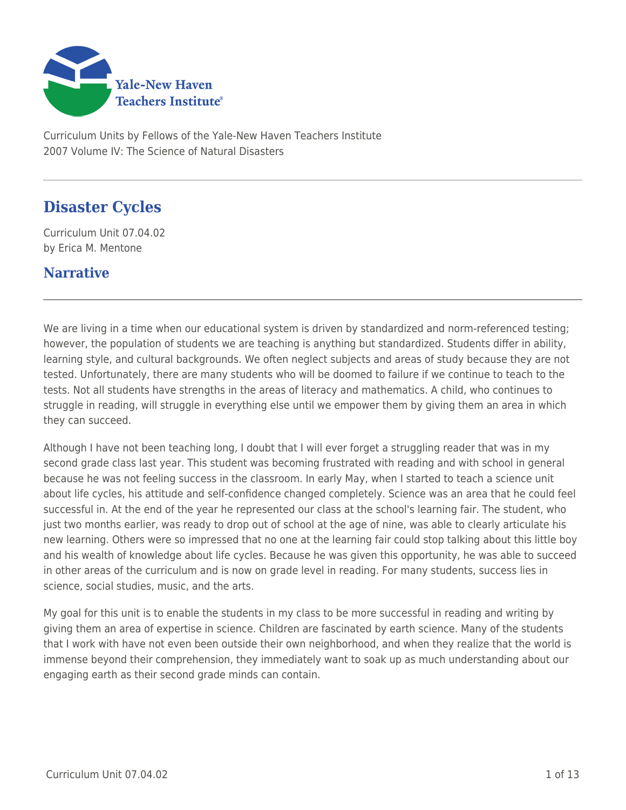

Curriculum Units by Fellows of the Yale-New Haven Teachers Institute 2007 Volume IV: The Science of Natural Disasters

# **Disaster Cycles**

Curriculum Unit 07.04.02 by Erica M. Mentone

### **Narrative**

We are living in a time when our educational system is driven by standardized and norm-referenced testing; however, the population of students we are teaching is anything but standardized. Students differ in ability, learning style, and cultural backgrounds. We often neglect subjects and areas of study because they are not tested. Unfortunately, there are many students who will be doomed to failure if we continue to teach to the tests. Not all students have strengths in the areas of literacy and mathematics. A child, who continues to struggle in reading, will struggle in everything else until we empower them by giving them an area in which they can succeed.

Although I have not been teaching long, I doubt that I will ever forget a struggling reader that was in my second grade class last year. This student was becoming frustrated with reading and with school in general because he was not feeling success in the classroom. In early May, when I started to teach a science unit about life cycles, his attitude and self-confidence changed completely. Science was an area that he could feel successful in. At the end of the year he represented our class at the school's learning fair. The student, who just two months earlier, was ready to drop out of school at the age of nine, was able to clearly articulate his new learning. Others were so impressed that no one at the learning fair could stop talking about this little boy and his wealth of knowledge about life cycles. Because he was given this opportunity, he was able to succeed in other areas of the curriculum and is now on grade level in reading. For many students, success lies in science, social studies, music, and the arts.

My goal for this unit is to enable the students in my class to be more successful in reading and writing by giving them an area of expertise in science. Children are fascinated by earth science. Many of the students that I work with have not even been outside their own neighborhood, and when they realize that the world is immense beyond their comprehension, they immediately want to soak up as much understanding about our engaging earth as their second grade minds can contain.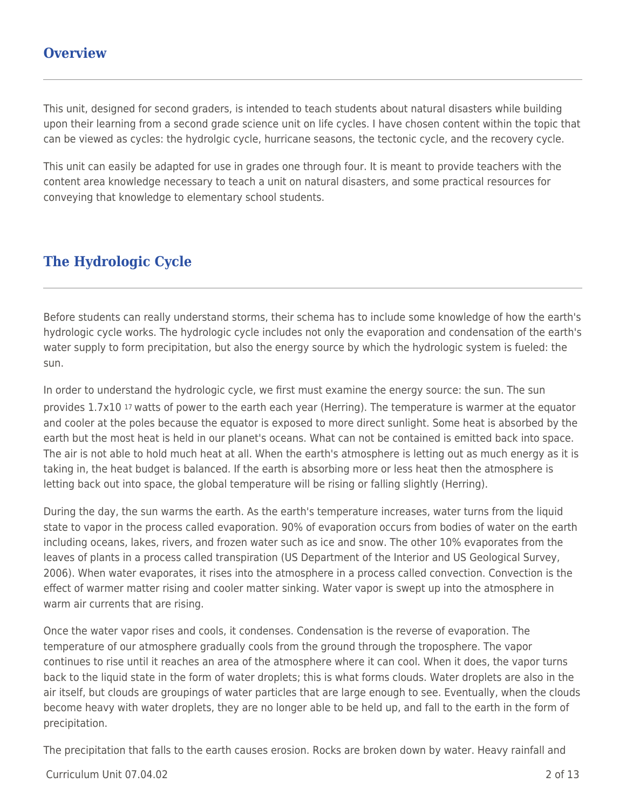### **Overview**

This unit, designed for second graders, is intended to teach students about natural disasters while building upon their learning from a second grade science unit on life cycles. I have chosen content within the topic that can be viewed as cycles: the hydrolgic cycle, hurricane seasons, the tectonic cycle, and the recovery cycle.

This unit can easily be adapted for use in grades one through four. It is meant to provide teachers with the content area knowledge necessary to teach a unit on natural disasters, and some practical resources for conveying that knowledge to elementary school students.

## **The Hydrologic Cycle**

Before students can really understand storms, their schema has to include some knowledge of how the earth's hydrologic cycle works. The hydrologic cycle includes not only the evaporation and condensation of the earth's water supply to form precipitation, but also the energy source by which the hydrologic system is fueled: the sun.

In order to understand the hydrologic cycle, we first must examine the energy source: the sun. The sun provides 1.7x10 17 watts of power to the earth each year (Herring). The temperature is warmer at the equator and cooler at the poles because the equator is exposed to more direct sunlight. Some heat is absorbed by the earth but the most heat is held in our planet's oceans. What can not be contained is emitted back into space. The air is not able to hold much heat at all. When the earth's atmosphere is letting out as much energy as it is taking in, the heat budget is balanced. If the earth is absorbing more or less heat then the atmosphere is letting back out into space, the global temperature will be rising or falling slightly (Herring).

During the day, the sun warms the earth. As the earth's temperature increases, water turns from the liquid state to vapor in the process called evaporation. 90% of evaporation occurs from bodies of water on the earth including oceans, lakes, rivers, and frozen water such as ice and snow. The other 10% evaporates from the leaves of plants in a process called transpiration (US Department of the Interior and US Geological Survey, 2006). When water evaporates, it rises into the atmosphere in a process called convection. Convection is the effect of warmer matter rising and cooler matter sinking. Water vapor is swept up into the atmosphere in warm air currents that are rising.

Once the water vapor rises and cools, it condenses. Condensation is the reverse of evaporation. The temperature of our atmosphere gradually cools from the ground through the troposphere. The vapor continues to rise until it reaches an area of the atmosphere where it can cool. When it does, the vapor turns back to the liquid state in the form of water droplets; this is what forms clouds. Water droplets are also in the air itself, but clouds are groupings of water particles that are large enough to see. Eventually, when the clouds become heavy with water droplets, they are no longer able to be held up, and fall to the earth in the form of precipitation.

The precipitation that falls to the earth causes erosion. Rocks are broken down by water. Heavy rainfall and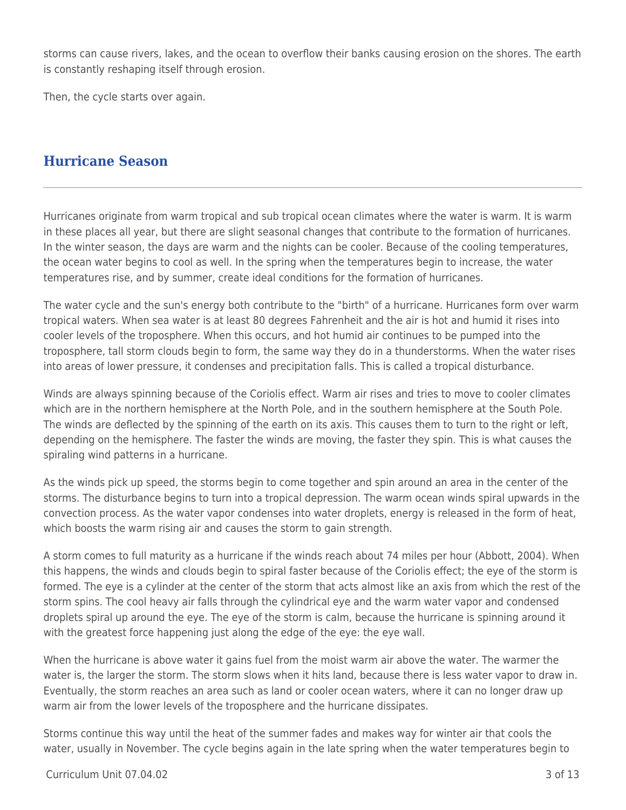storms can cause rivers, lakes, and the ocean to overflow their banks causing erosion on the shores. The earth is constantly reshaping itself through erosion.

Then, the cycle starts over again.

### **Hurricane Season**

Hurricanes originate from warm tropical and sub tropical ocean climates where the water is warm. It is warm in these places all year, but there are slight seasonal changes that contribute to the formation of hurricanes. In the winter season, the days are warm and the nights can be cooler. Because of the cooling temperatures, the ocean water begins to cool as well. In the spring when the temperatures begin to increase, the water temperatures rise, and by summer, create ideal conditions for the formation of hurricanes.

The water cycle and the sun's energy both contribute to the "birth" of a hurricane. Hurricanes form over warm tropical waters. When sea water is at least 80 degrees Fahrenheit and the air is hot and humid it rises into cooler levels of the troposphere. When this occurs, and hot humid air continues to be pumped into the troposphere, tall storm clouds begin to form, the same way they do in a thunderstorms. When the water rises into areas of lower pressure, it condenses and precipitation falls. This is called a tropical disturbance.

Winds are always spinning because of the Coriolis effect. Warm air rises and tries to move to cooler climates which are in the northern hemisphere at the North Pole, and in the southern hemisphere at the South Pole. The winds are deflected by the spinning of the earth on its axis. This causes them to turn to the right or left, depending on the hemisphere. The faster the winds are moving, the faster they spin. This is what causes the spiraling wind patterns in a hurricane.

As the winds pick up speed, the storms begin to come together and spin around an area in the center of the storms. The disturbance begins to turn into a tropical depression. The warm ocean winds spiral upwards in the convection process. As the water vapor condenses into water droplets, energy is released in the form of heat, which boosts the warm rising air and causes the storm to gain strength.

A storm comes to full maturity as a hurricane if the winds reach about 74 miles per hour (Abbott, 2004). When this happens, the winds and clouds begin to spiral faster because of the Coriolis effect; the eye of the storm is formed. The eye is a cylinder at the center of the storm that acts almost like an axis from which the rest of the storm spins. The cool heavy air falls through the cylindrical eye and the warm water vapor and condensed droplets spiral up around the eye. The eye of the storm is calm, because the hurricane is spinning around it with the greatest force happening just along the edge of the eye: the eye wall.

When the hurricane is above water it gains fuel from the moist warm air above the water. The warmer the water is, the larger the storm. The storm slows when it hits land, because there is less water vapor to draw in. Eventually, the storm reaches an area such as land or cooler ocean waters, where it can no longer draw up warm air from the lower levels of the troposphere and the hurricane dissipates.

Storms continue this way until the heat of the summer fades and makes way for winter air that cools the water, usually in November. The cycle begins again in the late spring when the water temperatures begin to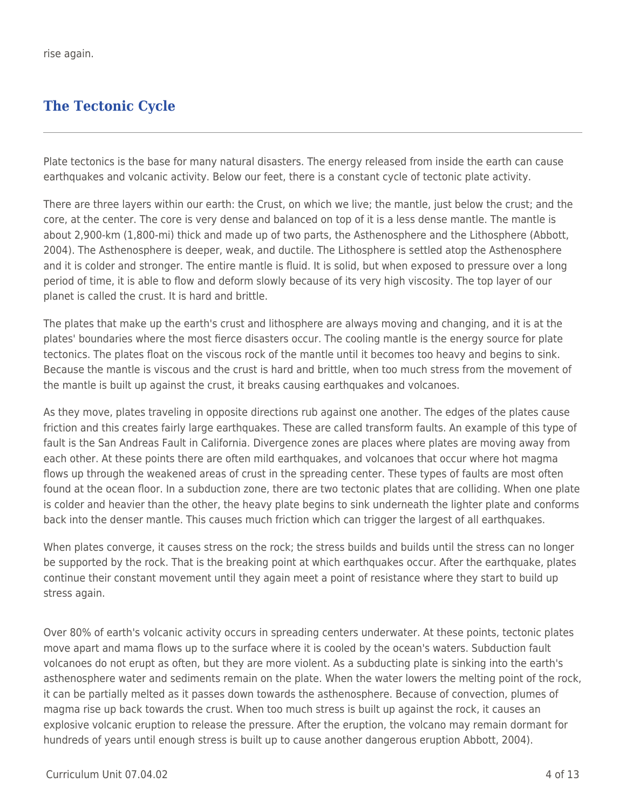# **The Tectonic Cycle**

Plate tectonics is the base for many natural disasters. The energy released from inside the earth can cause earthquakes and volcanic activity. Below our feet, there is a constant cycle of tectonic plate activity.

There are three layers within our earth: the Crust, on which we live; the mantle, just below the crust; and the core, at the center. The core is very dense and balanced on top of it is a less dense mantle. The mantle is about 2,900-km (1,800-mi) thick and made up of two parts, the Asthenosphere and the Lithosphere (Abbott, 2004). The Asthenosphere is deeper, weak, and ductile. The Lithosphere is settled atop the Asthenosphere and it is colder and stronger. The entire mantle is fluid. It is solid, but when exposed to pressure over a long period of time, it is able to flow and deform slowly because of its very high viscosity. The top layer of our planet is called the crust. It is hard and brittle.

The plates that make up the earth's crust and lithosphere are always moving and changing, and it is at the plates' boundaries where the most fierce disasters occur. The cooling mantle is the energy source for plate tectonics. The plates float on the viscous rock of the mantle until it becomes too heavy and begins to sink. Because the mantle is viscous and the crust is hard and brittle, when too much stress from the movement of the mantle is built up against the crust, it breaks causing earthquakes and volcanoes.

As they move, plates traveling in opposite directions rub against one another. The edges of the plates cause friction and this creates fairly large earthquakes. These are called transform faults. An example of this type of fault is the San Andreas Fault in California. Divergence zones are places where plates are moving away from each other. At these points there are often mild earthquakes, and volcanoes that occur where hot magma flows up through the weakened areas of crust in the spreading center. These types of faults are most often found at the ocean floor. In a subduction zone, there are two tectonic plates that are colliding. When one plate is colder and heavier than the other, the heavy plate begins to sink underneath the lighter plate and conforms back into the denser mantle. This causes much friction which can trigger the largest of all earthquakes.

When plates converge, it causes stress on the rock; the stress builds and builds until the stress can no longer be supported by the rock. That is the breaking point at which earthquakes occur. After the earthquake, plates continue their constant movement until they again meet a point of resistance where they start to build up stress again.

Over 80% of earth's volcanic activity occurs in spreading centers underwater. At these points, tectonic plates move apart and mama flows up to the surface where it is cooled by the ocean's waters. Subduction fault volcanoes do not erupt as often, but they are more violent. As a subducting plate is sinking into the earth's asthenosphere water and sediments remain on the plate. When the water lowers the melting point of the rock, it can be partially melted as it passes down towards the asthenosphere. Because of convection, plumes of magma rise up back towards the crust. When too much stress is built up against the rock, it causes an explosive volcanic eruption to release the pressure. After the eruption, the volcano may remain dormant for hundreds of years until enough stress is built up to cause another dangerous eruption Abbott, 2004).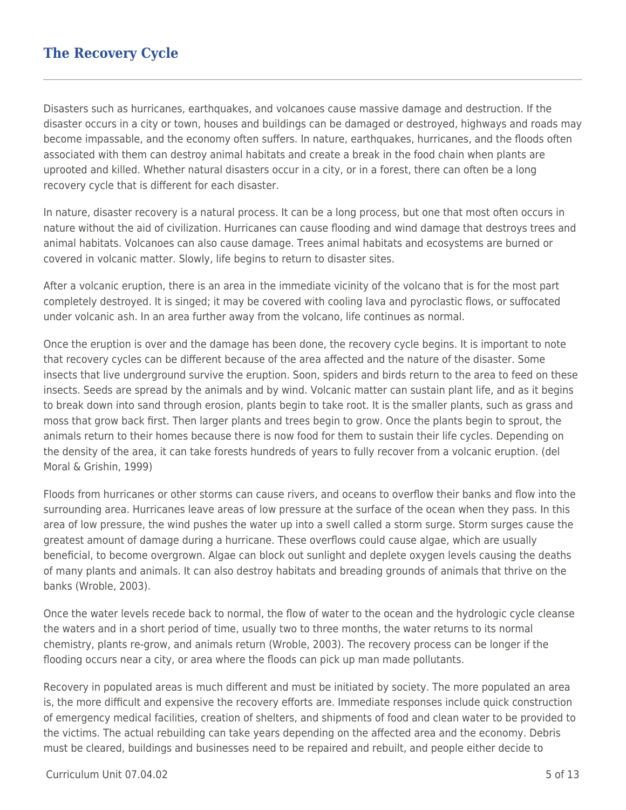## **The Recovery Cycle**

Disasters such as hurricanes, earthquakes, and volcanoes cause massive damage and destruction. If the disaster occurs in a city or town, houses and buildings can be damaged or destroyed, highways and roads may become impassable, and the economy often suffers. In nature, earthquakes, hurricanes, and the floods often associated with them can destroy animal habitats and create a break in the food chain when plants are uprooted and killed. Whether natural disasters occur in a city, or in a forest, there can often be a long recovery cycle that is different for each disaster.

In nature, disaster recovery is a natural process. It can be a long process, but one that most often occurs in nature without the aid of civilization. Hurricanes can cause flooding and wind damage that destroys trees and animal habitats. Volcanoes can also cause damage. Trees animal habitats and ecosystems are burned or covered in volcanic matter. Slowly, life begins to return to disaster sites.

After a volcanic eruption, there is an area in the immediate vicinity of the volcano that is for the most part completely destroyed. It is singed; it may be covered with cooling lava and pyroclastic flows, or suffocated under volcanic ash. In an area further away from the volcano, life continues as normal.

Once the eruption is over and the damage has been done, the recovery cycle begins. It is important to note that recovery cycles can be different because of the area affected and the nature of the disaster. Some insects that live underground survive the eruption. Soon, spiders and birds return to the area to feed on these insects. Seeds are spread by the animals and by wind. Volcanic matter can sustain plant life, and as it begins to break down into sand through erosion, plants begin to take root. It is the smaller plants, such as grass and moss that grow back first. Then larger plants and trees begin to grow. Once the plants begin to sprout, the animals return to their homes because there is now food for them to sustain their life cycles. Depending on the density of the area, it can take forests hundreds of years to fully recover from a volcanic eruption. (del Moral & Grishin, 1999)

Floods from hurricanes or other storms can cause rivers, and oceans to overflow their banks and flow into the surrounding area. Hurricanes leave areas of low pressure at the surface of the ocean when they pass. In this area of low pressure, the wind pushes the water up into a swell called a storm surge. Storm surges cause the greatest amount of damage during a hurricane. These overflows could cause algae, which are usually beneficial, to become overgrown. Algae can block out sunlight and deplete oxygen levels causing the deaths of many plants and animals. It can also destroy habitats and breading grounds of animals that thrive on the banks (Wroble, 2003).

Once the water levels recede back to normal, the flow of water to the ocean and the hydrologic cycle cleanse the waters and in a short period of time, usually two to three months, the water returns to its normal chemistry, plants re-grow, and animals return (Wroble, 2003). The recovery process can be longer if the flooding occurs near a city, or area where the floods can pick up man made pollutants.

Recovery in populated areas is much different and must be initiated by society. The more populated an area is, the more difficult and expensive the recovery efforts are. Immediate responses include quick construction of emergency medical facilities, creation of shelters, and shipments of food and clean water to be provided to the victims. The actual rebuilding can take years depending on the affected area and the economy. Debris must be cleared, buildings and businesses need to be repaired and rebuilt, and people either decide to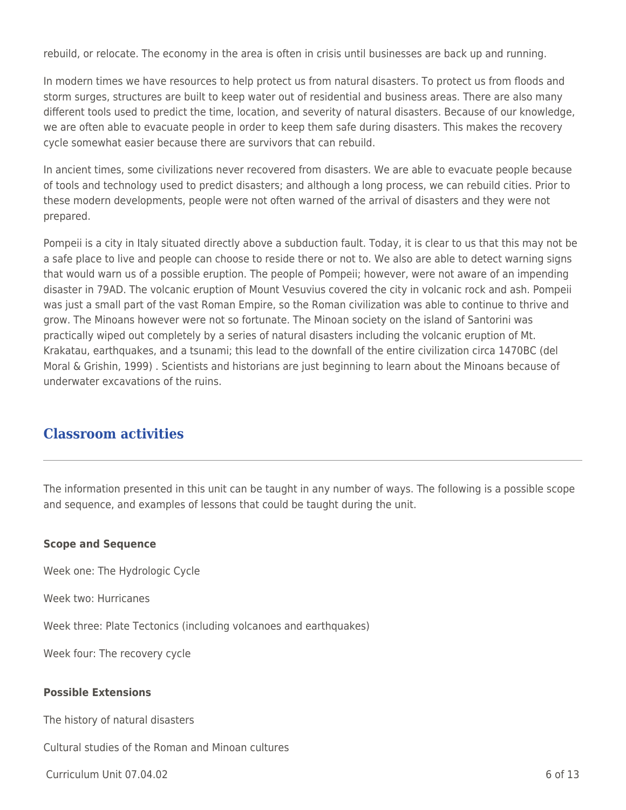rebuild, or relocate. The economy in the area is often in crisis until businesses are back up and running.

In modern times we have resources to help protect us from natural disasters. To protect us from floods and storm surges, structures are built to keep water out of residential and business areas. There are also many different tools used to predict the time, location, and severity of natural disasters. Because of our knowledge, we are often able to evacuate people in order to keep them safe during disasters. This makes the recovery cycle somewhat easier because there are survivors that can rebuild.

In ancient times, some civilizations never recovered from disasters. We are able to evacuate people because of tools and technology used to predict disasters; and although a long process, we can rebuild cities. Prior to these modern developments, people were not often warned of the arrival of disasters and they were not prepared.

Pompeii is a city in Italy situated directly above a subduction fault. Today, it is clear to us that this may not be a safe place to live and people can choose to reside there or not to. We also are able to detect warning signs that would warn us of a possible eruption. The people of Pompeii; however, were not aware of an impending disaster in 79AD. The volcanic eruption of Mount Vesuvius covered the city in volcanic rock and ash. Pompeii was just a small part of the vast Roman Empire, so the Roman civilization was able to continue to thrive and grow. The Minoans however were not so fortunate. The Minoan society on the island of Santorini was practically wiped out completely by a series of natural disasters including the volcanic eruption of Mt. Krakatau, earthquakes, and a tsunami; this lead to the downfall of the entire civilization circa 1470BC (del Moral & Grishin, 1999) . Scientists and historians are just beginning to learn about the Minoans because of underwater excavations of the ruins.

## **Classroom activities**

The information presented in this unit can be taught in any number of ways. The following is a possible scope and sequence, and examples of lessons that could be taught during the unit.

#### **Scope and Sequence**

Week one: The Hydrologic Cycle

Week two: Hurricanes

Week three: Plate Tectonics (including volcanoes and earthquakes)

Week four: The recovery cycle

#### **Possible Extensions**

The history of natural disasters

Cultural studies of the Roman and Minoan cultures

 $Curir$  Unit 07.04.02 6 of 13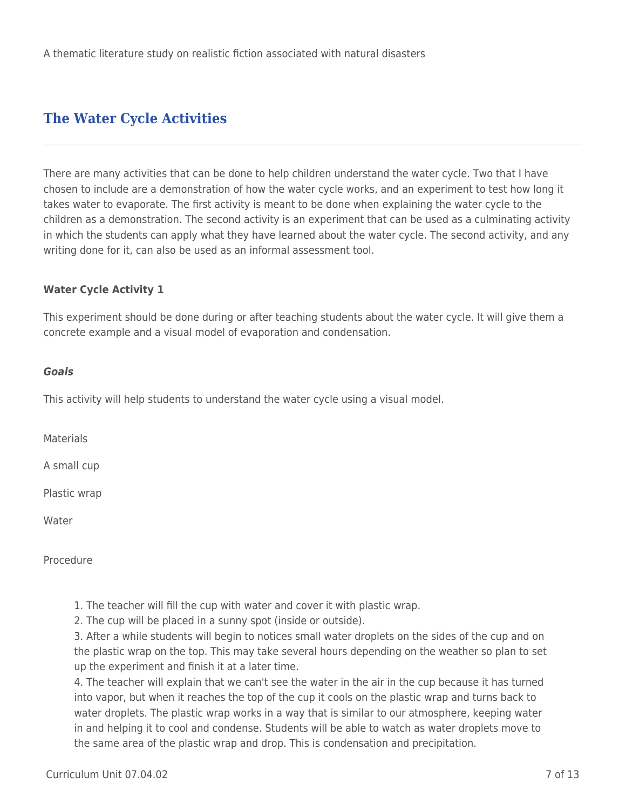## **The Water Cycle Activities**

There are many activities that can be done to help children understand the water cycle. Two that I have chosen to include are a demonstration of how the water cycle works, and an experiment to test how long it takes water to evaporate. The first activity is meant to be done when explaining the water cycle to the children as a demonstration. The second activity is an experiment that can be used as a culminating activity in which the students can apply what they have learned about the water cycle. The second activity, and any writing done for it, can also be used as an informal assessment tool.

#### **Water Cycle Activity 1**

This experiment should be done during or after teaching students about the water cycle. It will give them a concrete example and a visual model of evaporation and condensation.

#### *Goals*

This activity will help students to understand the water cycle using a visual model.

Materials

A small cup

Plastic wrap

Water

**Procedure** 

- 1. The teacher will fill the cup with water and cover it with plastic wrap.
- 2. The cup will be placed in a sunny spot (inside or outside).

3. After a while students will begin to notices small water droplets on the sides of the cup and on the plastic wrap on the top. This may take several hours depending on the weather so plan to set up the experiment and finish it at a later time.

4. The teacher will explain that we can't see the water in the air in the cup because it has turned into vapor, but when it reaches the top of the cup it cools on the plastic wrap and turns back to water droplets. The plastic wrap works in a way that is similar to our atmosphere, keeping water in and helping it to cool and condense. Students will be able to watch as water droplets move to the same area of the plastic wrap and drop. This is condensation and precipitation.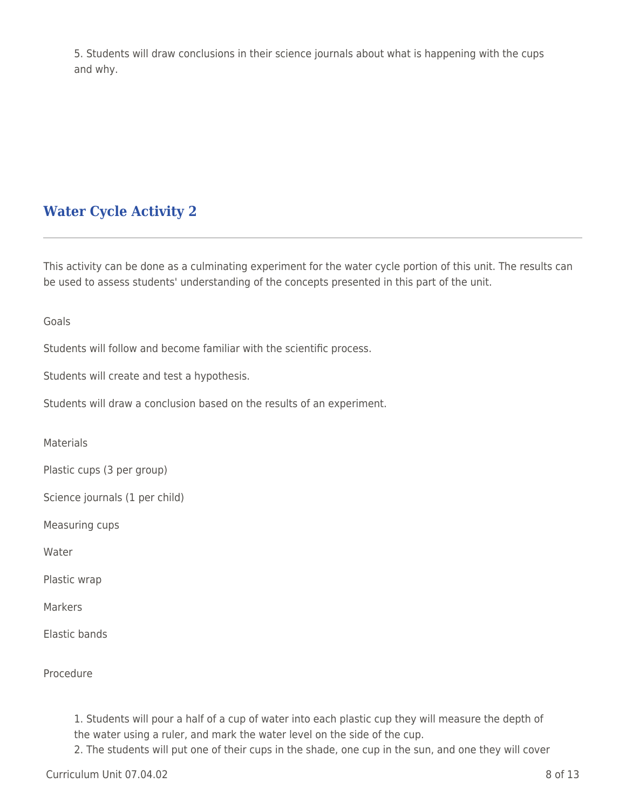5. Students will draw conclusions in their science journals about what is happening with the cups and why.

# **Water Cycle Activity 2**

This activity can be done as a culminating experiment for the water cycle portion of this unit. The results can be used to assess students' understanding of the concepts presented in this part of the unit.

Goals

Students will follow and become familiar with the scientific process.

Students will create and test a hypothesis.

Students will draw a conclusion based on the results of an experiment.

**Materials** 

Plastic cups (3 per group)

Science journals (1 per child)

Measuring cups

Water

Plastic wrap

Markers

Elastic bands

Procedure

1. Students will pour a half of a cup of water into each plastic cup they will measure the depth of the water using a ruler, and mark the water level on the side of the cup.

2. The students will put one of their cups in the shade, one cup in the sun, and one they will cover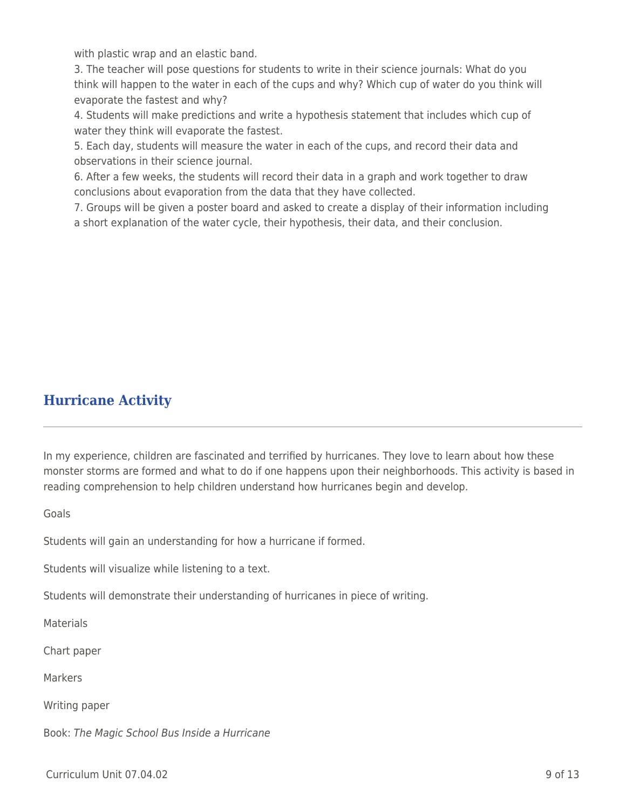with plastic wrap and an elastic band.

3. The teacher will pose questions for students to write in their science journals: What do you think will happen to the water in each of the cups and why? Which cup of water do you think will evaporate the fastest and why?

4. Students will make predictions and write a hypothesis statement that includes which cup of water they think will evaporate the fastest.

5. Each day, students will measure the water in each of the cups, and record their data and observations in their science journal.

6. After a few weeks, the students will record their data in a graph and work together to draw conclusions about evaporation from the data that they have collected.

7. Groups will be given a poster board and asked to create a display of their information including a short explanation of the water cycle, their hypothesis, their data, and their conclusion.

## **Hurricane Activity**

In my experience, children are fascinated and terrified by hurricanes. They love to learn about how these monster storms are formed and what to do if one happens upon their neighborhoods. This activity is based in reading comprehension to help children understand how hurricanes begin and develop.

Goals

Students will gain an understanding for how a hurricane if formed.

Students will visualize while listening to a text.

Students will demonstrate their understanding of hurricanes in piece of writing.

**Materials** 

Chart paper

**Markers** 

Writing paper

Book: The Magic School Bus Inside a Hurricane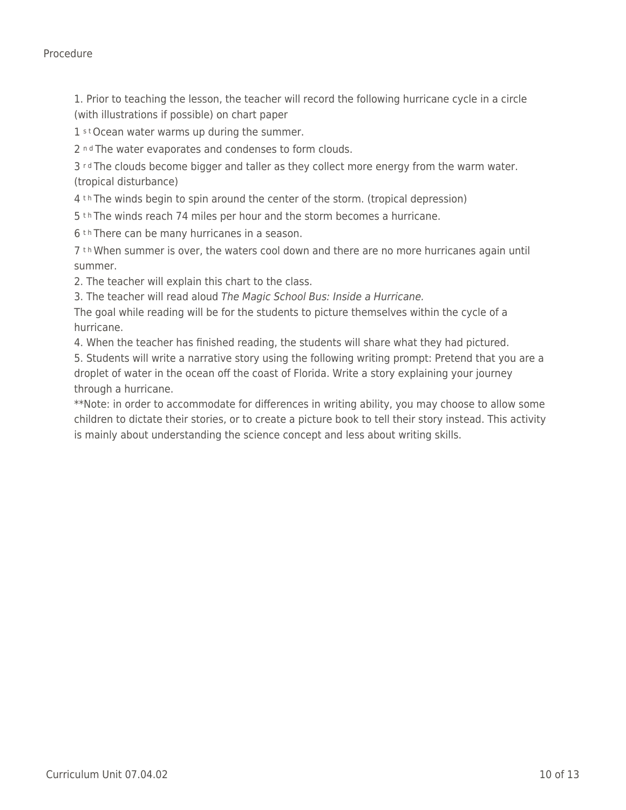Procedure

1. Prior to teaching the lesson, the teacher will record the following hurricane cycle in a circle (with illustrations if possible) on chart paper

1 st Ocean water warms up during the summer.

2 nd The water evaporates and condenses to form clouds.

3 rd The clouds become bigger and taller as they collect more energy from the warm water. (tropical disturbance)

4 th The winds begin to spin around the center of the storm. (tropical depression)

5 th The winds reach 74 miles per hour and the storm becomes a hurricane.

6<sup>th</sup> There can be many hurricanes in a season.

7 t h When summer is over, the waters cool down and there are no more hurricanes again until summer.

2. The teacher will explain this chart to the class.

3. The teacher will read aloud The Magic School Bus: Inside a Hurricane.

The goal while reading will be for the students to picture themselves within the cycle of a hurricane.

4. When the teacher has finished reading, the students will share what they had pictured.

5. Students will write a narrative story using the following writing prompt: Pretend that you are a droplet of water in the ocean off the coast of Florida. Write a story explaining your journey through a hurricane.

\*\*Note: in order to accommodate for differences in writing ability, you may choose to allow some children to dictate their stories, or to create a picture book to tell their story instead. This activity is mainly about understanding the science concept and less about writing skills.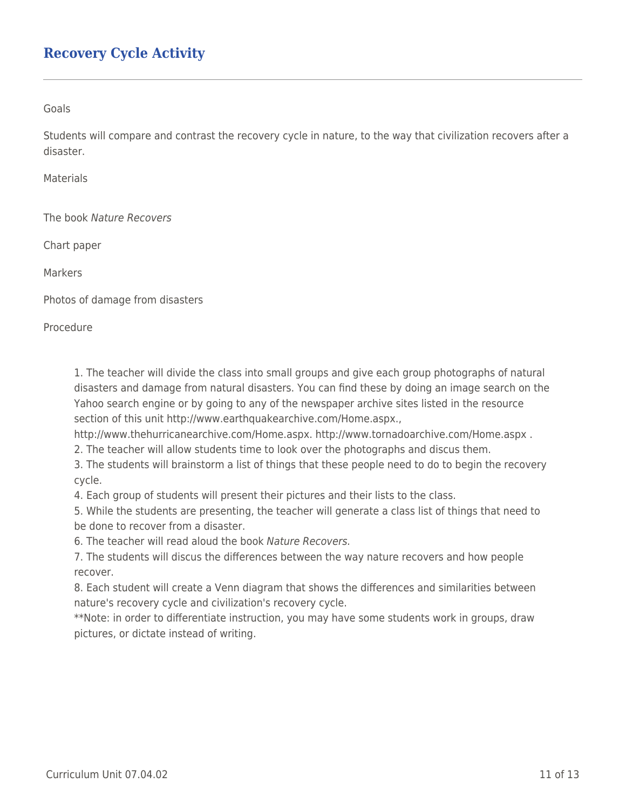## **Recovery Cycle Activity**

Goals

Students will compare and contrast the recovery cycle in nature, to the way that civilization recovers after a disaster.

Materials

The book Nature Recovers

Chart paper

**Markers** 

Photos of damage from disasters

Procedure

1. The teacher will divide the class into small groups and give each group photographs of natural disasters and damage from natural disasters. You can find these by doing an image search on the Yahoo search engine or by going to any of the newspaper archive sites listed in the resource section of this unit http://www.earthquakearchive.com/Home.aspx.,

http://www.thehurricanearchive.com/Home.aspx. http://www.tornadoarchive.com/Home.aspx .

2. The teacher will allow students time to look over the photographs and discus them.

3. The students will brainstorm a list of things that these people need to do to begin the recovery cycle.

4. Each group of students will present their pictures and their lists to the class.

5. While the students are presenting, the teacher will generate a class list of things that need to be done to recover from a disaster.

6. The teacher will read aloud the book Nature Recovers.

7. The students will discus the differences between the way nature recovers and how people recover.

8. Each student will create a Venn diagram that shows the differences and similarities between nature's recovery cycle and civilization's recovery cycle.

\*\*Note: in order to differentiate instruction, you may have some students work in groups, draw pictures, or dictate instead of writing.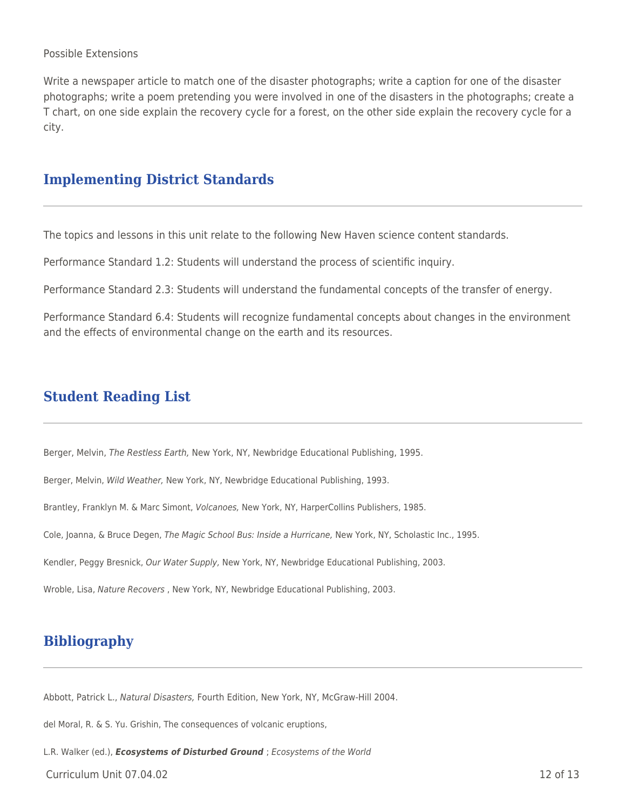#### Possible Extensions

Write a newspaper article to match one of the disaster photographs; write a caption for one of the disaster photographs; write a poem pretending you were involved in one of the disasters in the photographs; create a T chart, on one side explain the recovery cycle for a forest, on the other side explain the recovery cycle for a city.

### **Implementing District Standards**

The topics and lessons in this unit relate to the following New Haven science content standards.

Performance Standard 1.2: Students will understand the process of scientific inquiry.

Performance Standard 2.3: Students will understand the fundamental concepts of the transfer of energy.

Performance Standard 6.4: Students will recognize fundamental concepts about changes in the environment and the effects of environmental change on the earth and its resources.

### **Student Reading List**

Berger, Melvin, The Restless Earth, New York, NY, Newbridge Educational Publishing, 1995.

Berger, Melvin, Wild Weather, New York, NY, Newbridge Educational Publishing, 1993.

Brantley, Franklyn M. & Marc Simont, Volcanoes, New York, NY, HarperCollins Publishers, 1985.

Cole, Joanna, & Bruce Degen, The Magic School Bus: Inside a Hurricane, New York, NY, Scholastic Inc., 1995.

Kendler, Peggy Bresnick, Our Water Supply, New York, NY, Newbridge Educational Publishing, 2003.

Wroble, Lisa, Nature Recovers , New York, NY, Newbridge Educational Publishing, 2003.

## **Bibliography**

Abbott, Patrick L., Natural Disasters, Fourth Edition, New York, NY, McGraw-Hill 2004.

del Moral, R. & S. Yu. Grishin, The consequences of volcanic eruptions,

L.R. Walker (ed.), *Ecosystems of Disturbed Ground* ; Ecosystems of the World

 $C$ urriculum Unit 07.04.02 12 of 13